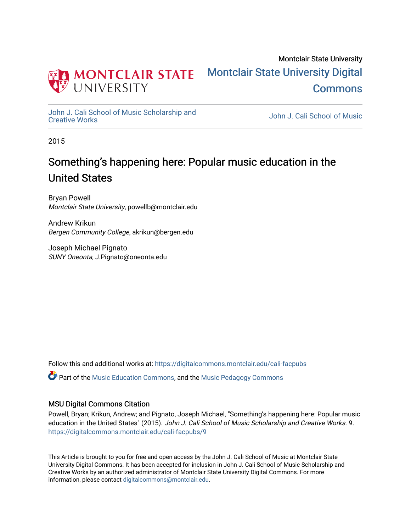

# Montclair State University [Montclair State University Digital](https://digitalcommons.montclair.edu/)  [Commons](https://digitalcommons.montclair.edu/)

[John J. Cali School of Music Scholarship and](https://digitalcommons.montclair.edu/cali-facpubs)<br>Creative Works

John J. Cali School of Music

2015

# Something's happening here: Popular music education in the United States

Bryan Powell Montclair State University, powellb@montclair.edu

Andrew Krikun Bergen Community College, akrikun@bergen.edu

Joseph Michael Pignato SUNY Oneonta, J.Pignato@oneonta.edu

Follow this and additional works at: [https://digitalcommons.montclair.edu/cali-facpubs](https://digitalcommons.montclair.edu/cali-facpubs?utm_source=digitalcommons.montclair.edu%2Fcali-facpubs%2F9&utm_medium=PDF&utm_campaign=PDFCoverPages) 

Part of the [Music Education Commons,](http://network.bepress.com/hgg/discipline/1246?utm_source=digitalcommons.montclair.edu%2Fcali-facpubs%2F9&utm_medium=PDF&utm_campaign=PDFCoverPages) and the [Music Pedagogy Commons](http://network.bepress.com/hgg/discipline/1129?utm_source=digitalcommons.montclair.edu%2Fcali-facpubs%2F9&utm_medium=PDF&utm_campaign=PDFCoverPages)

#### MSU Digital Commons Citation

Powell, Bryan; Krikun, Andrew; and Pignato, Joseph Michael, "Something's happening here: Popular music education in the United States" (2015). John J. Cali School of Music Scholarship and Creative Works. 9. [https://digitalcommons.montclair.edu/cali-facpubs/9](https://digitalcommons.montclair.edu/cali-facpubs/9?utm_source=digitalcommons.montclair.edu%2Fcali-facpubs%2F9&utm_medium=PDF&utm_campaign=PDFCoverPages) 

This Article is brought to you for free and open access by the John J. Cali School of Music at Montclair State University Digital Commons. It has been accepted for inclusion in John J. Cali School of Music Scholarship and Creative Works by an authorized administrator of Montclair State University Digital Commons. For more information, please contact [digitalcommons@montclair.edu](mailto:digitalcommons@montclair.edu).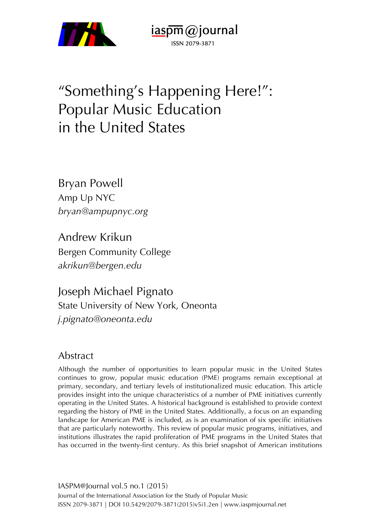

"Something's Happening Here!": Popular Music Education in the United States

 $i$ aspm $\omega$ journal

ISSN 2079-3871

Bryan Powell Amp Up NYC *bryan@ampupnyc.org*

Andrew Krikun Bergen Community College *akrikun@bergen.edu*

Joseph Michael Pignato State University of New York, Oneonta *j.pignato@oneonta.edu*

## Abstract

Although the number of opportunities to learn popular music in the United States continues to grow, popular music education (PME) programs remain exceptional at primary, secondary, and tertiary levels of institutionalized music education. This article provides insight into the unique characteristics of a number of PME initiatives currently operating in the United States. A historical background is established to provide context regarding the history of PME in the United States. Additionally, a focus on an expanding landscape for American PME is included, as is an examination of six specific initiatives that are particularly noteworthy. This review of popular music programs, initiatives, and institutions illustrates the rapid proliferation of PME programs in the United States that has occurred in the twenty-first century. As this brief snapshot of American institutions

IASPM@Journal vol.5 no.1 (2015) Journal of the International Association for the Study of Popular Music ISSN 2079-3871 | DOI 10.5429/2079-3871(2015)v5i1.2en | www.iaspmjournal.net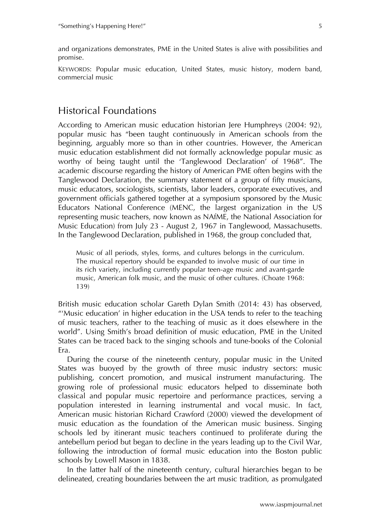and organizations demonstrates, PME in the United States is alive with possibilities and promise.

KEYWORDS: Popular music education, United States, music history, modern band, commercial music

## Historical Foundations

According to American music education historian Jere Humphreys (2004: 92), popular music has "been taught continuously in American schools from the beginning, arguably more so than in other countries. However, the American music education establishment did not formally acknowledge popular music as worthy of being taught until the 'Tanglewood Declaration' of 1968". The academic discourse regarding the history of American PME often begins with the Tanglewood Declaration, the summary statement of a group of fifty musicians, music educators, sociologists, scientists, labor leaders, corporate executives, and government officials gathered together at a symposium sponsored by the Music Educators National Conference (MENC, the largest organization in the US representing music teachers, now known as NAfME, the National Association for Music Education) from July 23 - August 2, 1967 in Tanglewood, Massachusetts. In the Tanglewood Declaration, published in 1968, the group concluded that,

Music of all periods, styles, forms, and cultures belongs in the curriculum. The musical repertory should be expanded to involve music of our time in its rich variety, including currently popular teen-age music and avant-garde music, American folk music, and the music of other cultures. (Choate 1968: 139)

British music education scholar Gareth Dylan Smith (2014: 43) has observed, "'Music education' in higher education in the USA tends to refer to the teaching of music teachers, rather to the teaching of music as it does elsewhere in the world". Using Smith's broad definition of music education, PME in the United States can be traced back to the singing schools and tune-books of the Colonial Era.

During the course of the nineteenth century, popular music in the United States was buoyed by the growth of three music industry sectors: music publishing, concert promotion, and musical instrument manufacturing. The growing role of professional music educators helped to disseminate both classical and popular music repertoire and performance practices, serving a population interested in learning instrumental and vocal music. In fact, American music historian Richard Crawford (2000) viewed the development of music education as the foundation of the American music business. Singing schools led by itinerant music teachers continued to proliferate during the antebellum period but began to decline in the years leading up to the Civil War, following the introduction of formal music education into the Boston public schools by Lowell Mason in 1838.

In the latter half of the nineteenth century, cultural hierarchies began to be delineated, creating boundaries between the art music tradition, as promulgated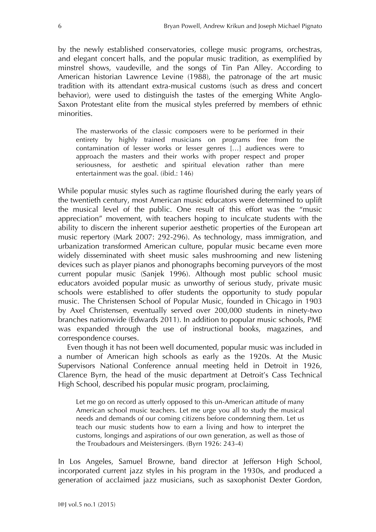by the newly established conservatories, college music programs, orchestras, and elegant concert halls, and the popular music tradition, as exemplified by minstrel shows, vaudeville, and the songs of Tin Pan Alley. According to American historian Lawrence Levine (1988), the patronage of the art music tradition with its attendant extra-musical customs (such as dress and concert behavior), were used to distinguish the tastes of the emerging White Anglo-Saxon Protestant elite from the musical styles preferred by members of ethnic minorities.

The masterworks of the classic composers were to be performed in their entirety by highly trained musicians on programs free from the contamination of lesser works or lesser genres […] audiences were to approach the masters and their works with proper respect and proper seriousness, for aesthetic and spiritual elevation rather than mere entertainment was the goal. (ibid.: 146)

While popular music styles such as ragtime flourished during the early years of the twentieth century, most American music educators were determined to uplift the musical level of the public. One result of this effort was the "music appreciation" movement, with teachers hoping to inculcate students with the ability to discern the inherent superior aesthetic properties of the European art music repertory (Mark 2007: 292-296). As technology, mass immigration, and urbanization transformed American culture, popular music became even more widely disseminated with sheet music sales mushrooming and new listening devices such as player pianos and phonographs becoming purveyors of the most current popular music (Sanjek 1996). Although most public school music educators avoided popular music as unworthy of serious study, private music schools were established to offer students the opportunity to study popular music. The Christensen School of Popular Music, founded in Chicago in 1903 by Axel Christensen, eventually served over 200,000 students in ninety-two branches nationwide (Edwards 2011). In addition to popular music schools, PME was expanded through the use of instructional books, magazines, and correspondence courses.

Even though it has not been well documented, popular music was included in a number of American high schools as early as the 1920s. At the Music Supervisors National Conference annual meeting held in Detroit in 1926, Clarence Byrn, the head of the music department at Detroit's Cass Technical High School, described his popular music program, proclaiming,

Let me go on record as utterly opposed to this un-American attitude of many American school music teachers. Let me urge you all to study the musical needs and demands of our coming citizens before condemning them. Let us teach our music students how to earn a living and how to interpret the customs, longings and aspirations of our own generation, as well as those of the Troubadours and Meistersingers. (Byrn 1926: 243-4)

In Los Angeles, Samuel Browne, band director at Jefferson High School, incorporated current jazz styles in his program in the 1930s, and produced a generation of acclaimed jazz musicians, such as saxophonist Dexter Gordon,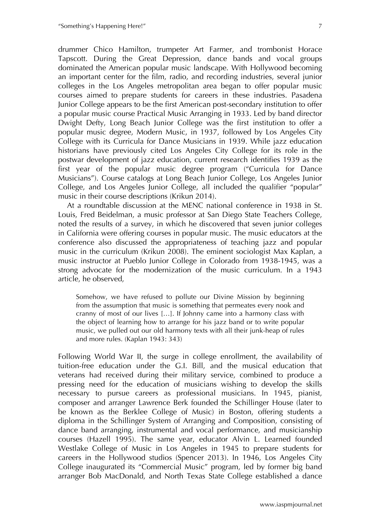drummer Chico Hamilton, trumpeter Art Farmer, and trombonist Horace Tapscott. During the Great Depression, dance bands and vocal groups dominated the American popular music landscape. With Hollywood becoming an important center for the film, radio, and recording industries, several junior colleges in the Los Angeles metropolitan area began to offer popular music courses aimed to prepare students for careers in these industries. Pasadena Junior College appears to be the first American post-secondary institution to offer a popular music course Practical Music Arranging in 1933. Led by band director Dwight Defty, Long Beach Junior College was the first institution to offer a popular music degree, Modern Music, in 1937, followed by Los Angeles City College with its Curricula for Dance Musicians in 1939. While jazz education historians have previously cited Los Angeles City College for its role in the postwar development of jazz education, current research identifies 1939 as the first year of the popular music degree program ("Curricula for Dance Musicians"). Course catalogs at Long Beach Junior College, Los Angeles Junior College, and Los Angeles Junior College, all included the qualifier "popular" music in their course descriptions (Krikun 2014).

At a roundtable discussion at the MENC national conference in 1938 in St. Louis, Fred Beidelman, a music professor at San Diego State Teachers College, noted the results of a survey, in which he discovered that seven junior colleges in California were offering courses in popular music. The music educators at the conference also discussed the appropriateness of teaching jazz and popular music in the curriculum (Krikun 2008). The eminent sociologist Max Kaplan, a music instructor at Pueblo Junior College in Colorado from 1938-1945, was a strong advocate for the modernization of the music curriculum. In a 1943 article, he observed,

Somehow, we have refused to pollute our Divine Mission by beginning from the assumption that music is something that permeates every nook and cranny of most of our lives […]. If Johnny came into a harmony class with the object of learning how to arrange for his jazz band or to write popular music, we pulled out our old harmony texts with all their junk-heap of rules and more rules. (Kaplan 1943: 343)

Following World War II, the surge in college enrollment, the availability of tuition-free education under the G.I. Bill, and the musical education that veterans had received during their military service, combined to produce a pressing need for the education of musicians wishing to develop the skills necessary to pursue careers as professional musicians. In 1945, pianist, composer and arranger Lawrence Berk founded the Schillinger House (later to be known as the Berklee College of Music) in Boston, offering students a diploma in the Schillinger System of Arranging and Composition, consisting of dance band arranging, instrumental and vocal performance, and musicianship courses (Hazell 1995). The same year, educator Alvin L. Learned founded Westlake College of Music in Los Angeles in 1945 to prepare students for careers in the Hollywood studios (Spencer 2013). In 1946, Los Angeles City College inaugurated its "Commercial Music" program, led by former big band arranger Bob MacDonald, and North Texas State College established a dance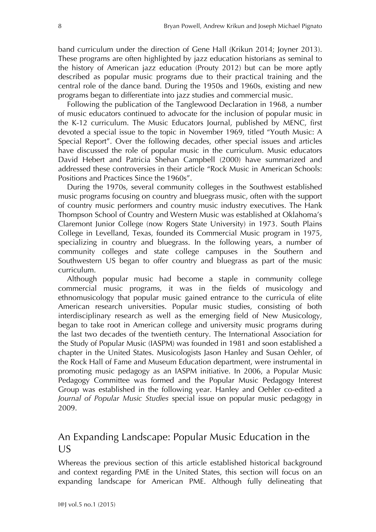band curriculum under the direction of Gene Hall (Krikun 2014; Joyner 2013). These programs are often highlighted by jazz education historians as seminal to the history of American jazz education (Prouty 2012) but can be more aptly described as popular music programs due to their practical training and the central role of the dance band. During the 1950s and 1960s, existing and new programs began to differentiate into jazz studies and commercial music.

Following the publication of the Tanglewood Declaration in 1968, a number of music educators continued to advocate for the inclusion of popular music in the K-12 curriculum. The Music Educators Journal, published by MENC, first devoted a special issue to the topic in November 1969, titled "Youth Music: A Special Report". Over the following decades, other special issues and articles have discussed the role of popular music in the curriculum. Music educators David Hebert and Patricia Shehan Campbell (2000) have summarized and addressed these controversies in their article "Rock Music in American Schools: Positions and Practices Since the 1960s".

During the 1970s, several community colleges in the Southwest established music programs focusing on country and bluegrass music, often with the support of country music performers and country music industry executives. The Hank Thompson School of Country and Western Music was established at Oklahoma's Claremont Junior College (now Rogers State University) in 1973. South Plains College in Levelland, Texas, founded its Commercial Music program in 1975, specializing in country and bluegrass. In the following years, a number of community colleges and state college campuses in the Southern and Southwestern US began to offer country and bluegrass as part of the music curriculum.

Although popular music had become a staple in community college commercial music programs, it was in the fields of musicology and ethnomusicology that popular music gained entrance to the curricula of elite American research universities. Popular music studies, consisting of both interdisciplinary research as well as the emerging field of New Musicology, began to take root in American college and university music programs during the last two decades of the twentieth century. The International Association for the Study of Popular Music (IASPM) was founded in 1981 and soon established a chapter in the United States. Musicologists Jason Hanley and Susan Oehler, of the Rock Hall of Fame and Museum Education department, were instrumental in promoting music pedagogy as an IASPM initiative. In 2006, a Popular Music Pedagogy Committee was formed and the Popular Music Pedagogy Interest Group was established in the following year. Hanley and Oehler co-edited a *Journal of Popular Music Studies* special issue on popular music pedagogy in 2009.

## An Expanding Landscape: Popular Music Education in the US

Whereas the previous section of this article established historical background and context regarding PME in the United States, this section will focus on an expanding landscape for American PME. Although fully delineating that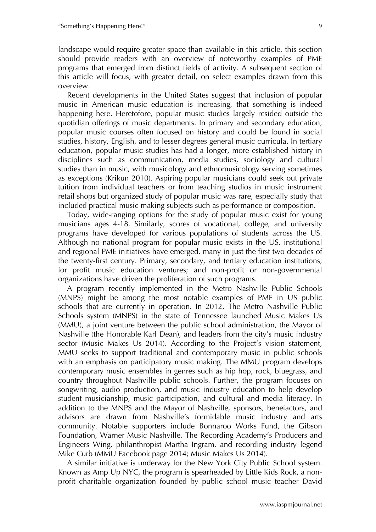landscape would require greater space than available in this article, this section should provide readers with an overview of noteworthy examples of PME programs that emerged from distinct fields of activity. A subsequent section of this article will focus, with greater detail, on select examples drawn from this overview.

Recent developments in the United States suggest that inclusion of popular music in American music education is increasing, that something is indeed happening here. Heretofore, popular music studies largely resided outside the quotidian offerings of music departments. In primary and secondary education, popular music courses often focused on history and could be found in social studies, history, English, and to lesser degrees general music curricula. In tertiary education, popular music studies has had a longer, more established history in disciplines such as communication, media studies, sociology and cultural studies than in music, with musicology and ethnomusicology serving sometimes as exceptions (Krikun 2010). Aspiring popular musicians could seek out private tuition from individual teachers or from teaching studios in music instrument retail shops but organized study of popular music was rare, especially study that included practical music making subjects such as performance or composition.

Today, wide-ranging options for the study of popular music exist for young musicians ages 4-18. Similarly, scores of vocational, college, and university programs have developed for various populations of students across the US. Although no national program for popular music exists in the US, institutional and regional PME initiatives have emerged, many in just the first two decades of the twenty-first century. Primary, secondary, and tertiary education institutions; for profit music education ventures; and non-profit or non-governmental organizations have driven the proliferation of such programs.

A program recently implemented in the Metro Nashville Public Schools (MNPS) might be among the most notable examples of PME in US public schools that are currently in operation. In 2012, The Metro Nashville Public Schools system (MNPS) in the state of Tennessee launched Music Makes Us (MMU), a joint venture between the public school administration, the Mayor of Nashville (the Honorable Karl Dean), and leaders from the city's music industry sector (Music Makes Us 2014). According to the Project's vision statement, MMU seeks to support traditional and contemporary music in public schools with an emphasis on participatory music making. The MMU program develops contemporary music ensembles in genres such as hip hop, rock, bluegrass, and country throughout Nashville public schools. Further, the program focuses on songwriting, audio production, and music industry education to help develop student musicianship, music participation, and cultural and media literacy. In addition to the MNPS and the Mayor of Nashville, sponsors, benefactors, and advisors are drawn from Nashville's formidable music industry and arts community. Notable supporters include Bonnaroo Works Fund, the Gibson Foundation, Warner Music Nashville, The Recording Academy's Producers and Engineers Wing, philanthropist Martha Ingram, and recording industry legend Mike Curb (MMU Facebook page 2014; Music Makes Us 2014).

A similar initiative is underway for the New York City Public School system. Known as Amp Up NYC, the program is spearheaded by Little Kids Rock, a nonprofit charitable organization founded by public school music teacher David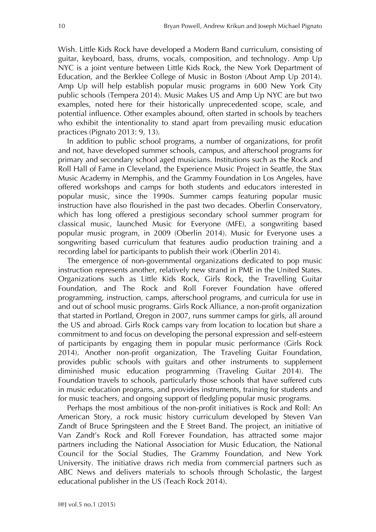Wish. Little Kids Rock have developed a Modern Band curriculum, consisting of guitar, keyboard, bass, drums, vocals, composition, and technology. Amp Up NYC is a joint venture between Little Kids Rock, the New York Department of Education, and the Berklee College of Music in Boston (About Amp Up 2014). Amp Up will help establish popular music programs in 600 New York City public schools (Tempera 2014). Music Makes US and Amp Up NYC are but two examples, noted here for their historically unprecedented scope, scale, and potential influence. Other examples abound, often started in schools by teachers who exhibit the intentionality to stand apart from prevailing music education practices (Pignato 2013: 9, 13).

In addition to public school programs, a number of organizations, for profit and not, have developed summer schools, campus, and afterschool programs for primary and secondary school aged musicians. Institutions such as the Rock and Roll Hall of Fame in Cleveland, the Experience Music Project in Seattle, the Stax Music Academy in Memphis, and the Grammy Foundation in Los Angeles, have offered workshops and camps for both students and educators interested in popular music, since the 1990s. Summer camps featuring popular music instruction have also flourished in the past two decades. Oberlin Conservatory, which has long offered a prestigious secondary school summer program for classical music, launched Music for Everyone (MFE), a songwriting based popular music program, in 2009 (Oberlin 2014). Music for Everyone uses a songwriting based curriculum that features audio production training and a recording label for participants to publish their work (Oberlin 2014).

The emergence of non-governmental organizations dedicated to pop music instruction represents another, relatively new strand in PME in the United States. Organizations such as Little Kids Rock, Girls Rock, the Travelling Guitar Foundation, and The Rock and Roll Forever Foundation have offered programming, instruction, camps, afterschool programs, and curricula for use in and out of school music programs. Girls Rock Alliance, a non-profit organization that started in Portland, Oregon in 2007, runs summer camps for girls, all around the US and abroad. Girls Rock camps vary from location to location but share a commitment to and focus on developing the personal expression and self-esteem of participants by engaging them in popular music performance (Girls Rock 2014). Another non-profit organization, The Traveling Guitar Foundation, provides public schools with guitars and other instruments to supplement diminished music education programming (Traveling Guitar 2014). The Foundation travels to schools, particularly those schools that have suffered cuts in music education programs, and provides instruments, training for students and for music teachers, and ongoing support of fledgling popular music programs.

Perhaps the most ambitious of the non-profit initiatives is Rock and Roll: An American Story, a rock music history curriculum developed by Steven Van Zandt of Bruce Springsteen and the E Street Band. The project, an initiative of Van Zandt's Rock and Roll Forever Foundation, has attracted some major partners including the National Association for Music Education, the National Council for the Social Studies, The Grammy Foundation, and New York University. The initiative draws rich media from commercial partners such as ABC News and delivers materials to schools through Scholastic, the largest educational publisher in the US (Teach Rock 2014).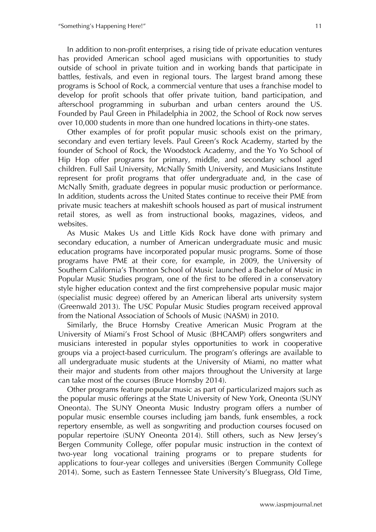In addition to non-profit enterprises, a rising tide of private education ventures has provided American school aged musicians with opportunities to study outside of school in private tuition and in working bands that participate in battles, festivals, and even in regional tours. The largest brand among these programs is School of Rock, a commercial venture that uses a franchise model to develop for profit schools that offer private tuition, band participation, and afterschool programming in suburban and urban centers around the US. Founded by Paul Green in Philadelphia in 2002, the School of Rock now serves over 10,000 students in more than one hundred locations in thirty-one states.

Other examples of for profit popular music schools exist on the primary, secondary and even tertiary levels. Paul Green's Rock Academy, started by the founder of School of Rock, the Woodstock Academy, and the Yo Yo School of Hip Hop offer programs for primary, middle, and secondary school aged children. Full Sail University, McNally Smith University, and Musicians Institute represent for profit programs that offer undergraduate and, in the case of McNally Smith, graduate degrees in popular music production or performance. In addition, students across the United States continue to receive their PME from private music teachers at makeshift schools housed as part of musical instrument retail stores, as well as from instructional books, magazines, videos, and websites.

As Music Makes Us and Little Kids Rock have done with primary and secondary education, a number of American undergraduate music and music education programs have incorporated popular music programs. Some of those programs have PME at their core, for example, in 2009, the University of Southern California's Thornton School of Music launched a Bachelor of Music in Popular Music Studies program, one of the first to be offered in a conservatory style higher education context and the first comprehensive popular music major (specialist music degree) offered by an American liberal arts university system (Greenwald 2013). The USC Popular Music Studies program received approval from the National Association of Schools of Music (NASM) in 2010.

Similarly, the Bruce Hornsby Creative American Music Program at the University of Miami's Frost School of Music (BHCAMP) offers songwriters and musicians interested in popular styles opportunities to work in cooperative groups via a project-based curriculum. The program's offerings are available to all undergraduate music students at the University of Miami, no matter what their major and students from other majors throughout the University at large can take most of the courses (Bruce Hornsby 2014).

Other programs feature popular music as part of particularized majors such as the popular music offerings at the State University of New York, Oneonta (SUNY Oneonta). The SUNY Oneonta Music Industry program offers a number of popular music ensemble courses including jam bands, funk ensembles, a rock repertory ensemble, as well as songwriting and production courses focused on popular repertoire (SUNY Oneonta 2014). Still others, such as New Jersey's Bergen Community College, offer popular music instruction in the context of two-year long vocational training programs or to prepare students for applications to four-year colleges and universities (Bergen Community College 2014). Some, such as Eastern Tennessee State University's Bluegrass, Old Time,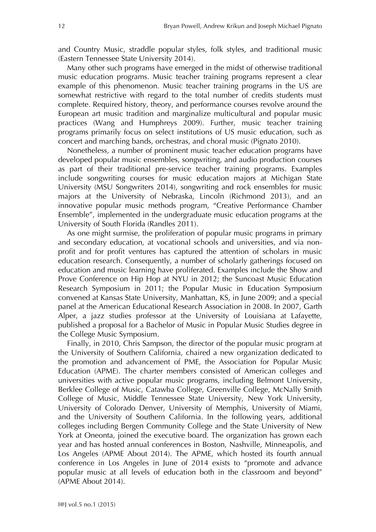and Country Music, straddle popular styles, folk styles, and traditional music (Eastern Tennessee State University 2014).

Many other such programs have emerged in the midst of otherwise traditional music education programs. Music teacher training programs represent a clear example of this phenomenon. Music teacher training programs in the US are somewhat restrictive with regard to the total number of credits students must complete. Required history, theory, and performance courses revolve around the European art music tradition and marginalize multicultural and popular music practices (Wang and Humphreys 2009). Further, music teacher training programs primarily focus on select institutions of US music education, such as concert and marching bands, orchestras, and choral music (Pignato 2010).

Nonetheless, a number of prominent music teacher education programs have developed popular music ensembles, songwriting, and audio production courses as part of their traditional pre-service teacher training programs. Examples include songwriting courses for music education majors at Michigan State University (MSU Songwriters 2014), songwriting and rock ensembles for music majors at the University of Nebraska, Lincoln (Richmond 2013), and an innovative popular music methods program, "Creative Performance Chamber Ensemble", implemented in the undergraduate music education programs at the University of South Florida (Randles 2011).

As one might surmise, the proliferation of popular music programs in primary and secondary education, at vocational schools and universities, and via nonprofit and for profit ventures has captured the attention of scholars in music education research. Consequently, a number of scholarly gatherings focused on education and music learning have proliferated. Examples include the Show and Prove Conference on Hip Hop at NYU in 2012; the Suncoast Music Education Research Symposium in 2011; the Popular Music in Education Symposium convened at Kansas State University, Manhattan, KS, in June 2009; and a special panel at the American Educational Research Association in 2008. In 2007, Garth Alper, a jazz studies professor at the University of Louisiana at Lafayette, published a proposal for a Bachelor of Music in Popular Music Studies degree in the College Music Symposium.

Finally, in 2010, Chris Sampson, the director of the popular music program at the University of Southern California, chaired a new organization dedicated to the promotion and advancement of PME, the Association for Popular Music Education (APME). The charter members consisted of American colleges and universities with active popular music programs, including Belmont University, Berklee College of Music, Catawba College, Greenville College, McNally Smith College of Music, Middle Tennessee State University, New York University, University of Colorado Denver, University of Memphis, University of Miami, and the University of Southern California. In the following years, additional colleges including Bergen Community College and the State University of New York at Oneonta, joined the executive board. The organization has grown each year and has hosted annual conferences in Boston, Nashville, Minneapolis, and Los Angeles (APME About 2014). The APME, which hosted its fourth annual conference in Los Angeles in June of 2014 exists to "promote and advance popular music at all levels of education both in the classroom and beyond" (APME About 2014).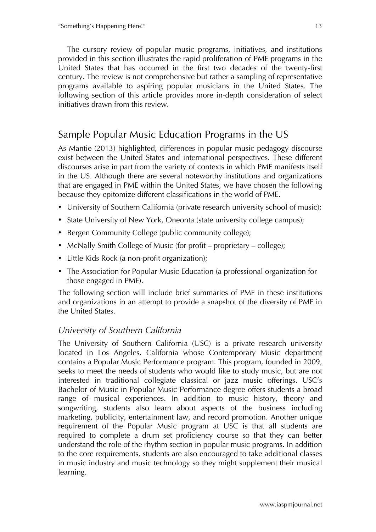The cursory review of popular music programs, initiatives, and institutions provided in this section illustrates the rapid proliferation of PME programs in the United States that has occurred in the first two decades of the twenty-first century. The review is not comprehensive but rather a sampling of representative programs available to aspiring popular musicians in the United States. The following section of this article provides more in-depth consideration of select initiatives drawn from this review.

## Sample Popular Music Education Programs in the US

As Mantie (2013) highlighted, differences in popular music pedagogy discourse exist between the United States and international perspectives. These different discourses arise in part from the variety of contexts in which PME manifests itself in the US. Although there are several noteworthy institutions and organizations that are engaged in PME within the United States, we have chosen the following because they epitomize different classifications in the world of PME.

- University of Southern California (private research university school of music);
- State University of New York, Oneonta (state university college campus);
- Bergen Community College (public community college);
- McNally Smith College of Music (for profit proprietary college);
- Little Kids Rock (a non-profit organization);
- The Association for Popular Music Education (a professional organization for those engaged in PME).

The following section will include brief summaries of PME in these institutions and organizations in an attempt to provide a snapshot of the diversity of PME in the United States.

### *University of Southern California*

The University of Southern California (USC) is a private research university located in Los Angeles, California whose Contemporary Music department contains a Popular Music Performance program. This program, founded in 2009, seeks to meet the needs of students who would like to study music, but are not interested in traditional collegiate classical or jazz music offerings. USC's Bachelor of Music in Popular Music Performance degree offers students a broad range of musical experiences. In addition to music history, theory and songwriting, students also learn about aspects of the business including marketing, publicity, entertainment law, and record promotion. Another unique requirement of the Popular Music program at USC is that all students are required to complete a drum set proficiency course so that they can better understand the role of the rhythm section in popular music programs. In addition to the core requirements, students are also encouraged to take additional classes in music industry and music technology so they might supplement their musical learning.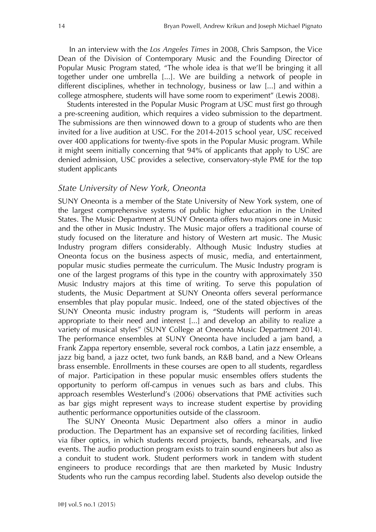In an interview with the *Los Angeles Times* in 2008, Chris Sampson, the Vice Dean of the Division of Contemporary Music and the Founding Director of Popular Music Program stated, "The whole idea is that we'll be bringing it all together under one umbrella [...]. We are building a network of people in different disciplines, whether in technology, business or law [...] and within a college atmosphere, students will have some room to experiment" (Lewis 2008).

Students interested in the Popular Music Program at USC must first go through a pre-screening audition, which requires a video submission to the department. The submissions are then winnowed down to a group of students who are then invited for a live audition at USC. For the 2014-2015 school year, USC received over 400 applications for twenty-five spots in the Popular Music program. While it might seem initially concerning that 94% of applicants that apply to USC are denied admission, USC provides a selective, conservatory-style PME for the top student applicants

#### *State University of New York, Oneonta*

SUNY Oneonta is a member of the State University of New York system, one of the largest comprehensive systems of public higher education in the United States. The Music Department at SUNY Oneonta offers two majors one in Music and the other in Music Industry. The Music major offers a traditional course of study focused on the literature and history of Western art music. The Music Industry program differs considerably. Although Music Industry studies at Oneonta focus on the business aspects of music, media, and entertainment, popular music studies permeate the curriculum. The Music Industry program is one of the largest programs of this type in the country with approximately 350 Music Industry majors at this time of writing. To serve this population of students, the Music Department at SUNY Oneonta offers several performance ensembles that play popular music. Indeed, one of the stated objectives of the SUNY Oneonta music industry program is, "Students will perform in areas appropriate to their need and interest [...] and develop an ability to realize a variety of musical styles" (SUNY College at Oneonta Music Department 2014). The performance ensembles at SUNY Oneonta have included a jam band, a Frank Zappa repertory ensemble, several rock combos, a Latin jazz ensemble, a jazz big band, a jazz octet, two funk bands, an R&B band, and a New Orleans brass ensemble. Enrollments in these courses are open to all students, regardless of major. Participation in these popular music ensembles offers students the opportunity to perform off-campus in venues such as bars and clubs. This approach resembles Westerlund's (2006) observations that PME activities such as bar gigs might represent ways to increase student expertise by providing authentic performance opportunities outside of the classroom.

The SUNY Oneonta Music Department also offers a minor in audio production. The Department has an expansive set of recording facilities, linked via fiber optics, in which students record projects, bands, rehearsals, and live events. The audio production program exists to train sound engineers but also as a conduit to student work. Student performers work in tandem with student engineers to produce recordings that are then marketed by Music Industry Students who run the campus recording label. Students also develop outside the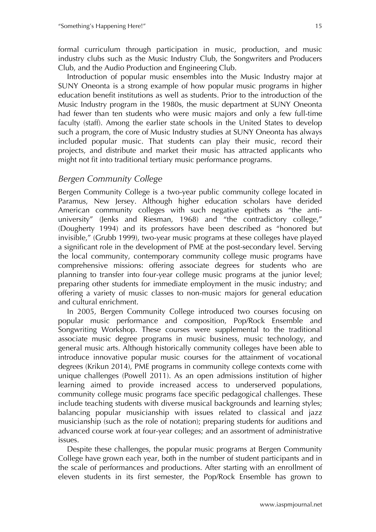formal curriculum through participation in music, production, and music industry clubs such as the Music Industry Club, the Songwriters and Producers Club, and the Audio Production and Engineering Club.

Introduction of popular music ensembles into the Music Industry major at SUNY Oneonta is a strong example of how popular music programs in higher education benefit institutions as well as students. Prior to the introduction of the Music Industry program in the 1980s, the music department at SUNY Oneonta had fewer than ten students who were music majors and only a few full-time faculty (staff). Among the earlier state schools in the United States to develop such a program, the core of Music Industry studies at SUNY Oneonta has always included popular music. That students can play their music, record their projects, and distribute and market their music has attracted applicants who might not fit into traditional tertiary music performance programs.

### *Bergen Community College*

Bergen Community College is a two-year public community college located in Paramus, New Jersey. Although higher education scholars have derided American community colleges with such negative epithets as "the antiuniversity" (Jenks and Riesman, 1968) and "the contradictory college," (Dougherty 1994) and its professors have been described as "honored but invisible," (Grubb 1999), two-year music programs at these colleges have played a significant role in the development of PME at the post-secondary level. Serving the local community, contemporary community college music programs have comprehensive missions: offering associate degrees for students who are planning to transfer into four-year college music programs at the junior level; preparing other students for immediate employment in the music industry; and offering a variety of music classes to non-music majors for general education and cultural enrichment.

In 2005, Bergen Community College introduced two courses focusing on popular music performance and composition, Pop/Rock Ensemble and Songwriting Workshop. These courses were supplemental to the traditional associate music degree programs in music business, music technology, and general music arts. Although historically community colleges have been able to introduce innovative popular music courses for the attainment of vocational degrees (Krikun 2014), PME programs in community college contexts come with unique challenges (Powell 2011). As an open admissions institution of higher learning aimed to provide increased access to underserved populations, community college music programs face specific pedagogical challenges. These include teaching students with diverse musical backgrounds and learning styles; balancing popular musicianship with issues related to classical and jazz musicianship (such as the role of notation); preparing students for auditions and advanced course work at four-year colleges; and an assortment of administrative issues.

Despite these challenges, the popular music programs at Bergen Community College have grown each year, both in the number of student participants and in the scale of performances and productions. After starting with an enrollment of eleven students in its first semester, the Pop/Rock Ensemble has grown to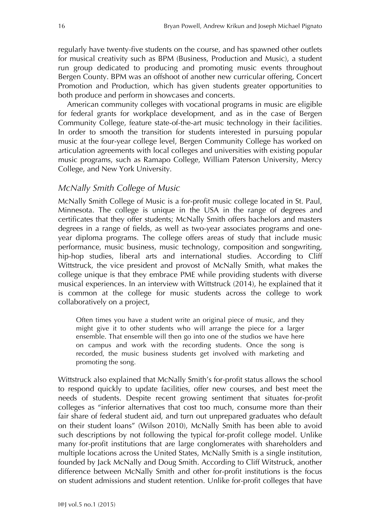regularly have twenty-five students on the course, and has spawned other outlets for musical creativity such as BPM (Business, Production and Music), a student run group dedicated to producing and promoting music events throughout Bergen County. BPM was an offshoot of another new curricular offering, Concert Promotion and Production, which has given students greater opportunities to both produce and perform in showcases and concerts.

American community colleges with vocational programs in music are eligible for federal grants for workplace development, and as in the case of Bergen Community College, feature state-of-the-art music technology in their facilities. In order to smooth the transition for students interested in pursuing popular music at the four-year college level, Bergen Community College has worked on articulation agreements with local colleges and universities with existing popular music programs, such as Ramapo College, William Paterson University, Mercy College, and New York University.

#### *McNally Smith College of Music*

McNally Smith College of Music is a for-profit music college located in St. Paul, Minnesota. The college is unique in the USA in the range of degrees and certificates that they offer students; McNally Smith offers bachelors and masters degrees in a range of fields, as well as two-year associates programs and oneyear diploma programs. The college offers areas of study that include music performance, music business, music technology, composition and songwriting, hip-hop studies, liberal arts and international studies. According to Cliff Wittstruck, the vice president and provost of McNally Smith, what makes the college unique is that they embrace PME while providing students with diverse musical experiences. In an interview with Wittstruck (2014), he explained that it is common at the college for music students across the college to work collaboratively on a project,

Often times you have a student write an original piece of music, and they might give it to other students who will arrange the piece for a larger ensemble. That ensemble will then go into one of the studios we have here on campus and work with the recording students. Once the song is recorded, the music business students get involved with marketing and promoting the song.

Wittstruck also explained that McNally Smith's for-profit status allows the school to respond quickly to update facilities, offer new courses, and best meet the needs of students. Despite recent growing sentiment that situates for-profit colleges as "inferior alternatives that cost too much, consume more than their fair share of federal student aid, and turn out unprepared graduates who default on their student loans" (Wilson 2010), McNally Smith has been able to avoid such descriptions by not following the typical for-profit college model. Unlike many for-profit institutions that are large conglomerates with shareholders and multiple locations across the United States, McNally Smith is a single institution, founded by Jack McNally and Doug Smith. According to Cliff Witstruck, another difference between McNally Smith and other for-profit institutions is the focus on student admissions and student retention. Unlike for-profit colleges that have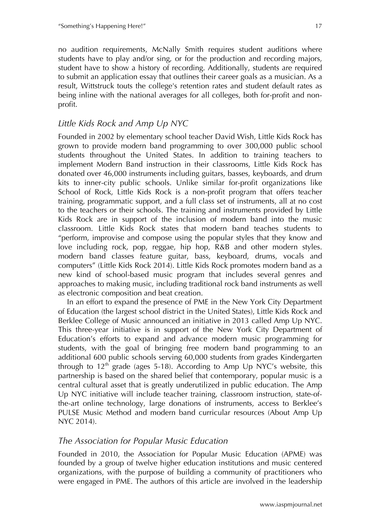no audition requirements, McNally Smith requires student auditions where students have to play and/or sing, or for the production and recording majors, student have to show a history of recording. Additionally, students are required to submit an application essay that outlines their career goals as a musician. As a result, Wittstruck touts the college's retention rates and student default rates as being inline with the national averages for all colleges, both for-profit and nonprofit.

### *Little Kids Rock and Amp Up NYC*

Founded in 2002 by elementary school teacher David Wish, Little Kids Rock has grown to provide modern band programming to over 300,000 public school students throughout the United States. In addition to training teachers to implement Modern Band instruction in their classrooms, Little Kids Rock has donated over 46,000 instruments including guitars, basses, keyboards, and drum kits to inner-city public schools. Unlike similar for-profit organizations like School of Rock, Little Kids Rock is a non-profit program that offers teacher training, programmatic support, and a full class set of instruments, all at no cost to the teachers or their schools. The training and instruments provided by Little Kids Rock are in support of the inclusion of modern band into the music classroom. Little Kids Rock states that modern band teaches students to "perform, improvise and compose using the popular styles that they know and love including rock, pop, reggae, hip hop, R&B and other modern styles. modern band classes feature guitar, bass, keyboard, drums, vocals and computers" (Little Kids Rock 2014). Little Kids Rock promotes modern band as a new kind of school-based music program that includes several genres and approaches to making music, including traditional rock band instruments as well as electronic composition and beat creation.

In an effort to expand the presence of PME in the New York City Department of Education (the largest school district in the United States), Little Kids Rock and Berklee College of Music announced an initiative in 2013 called Amp Up NYC. This three-year initiative is in support of the New York City Department of Education's efforts to expand and advance modern music programming for students, with the goal of bringing free modern band programming to an additional 600 public schools serving 60,000 students from grades Kindergarten through to  $12<sup>th</sup>$  grade (ages 5-18). According to Amp Up NYC's website, this partnership is based on the shared belief that contemporary, popular music is a central cultural asset that is greatly underutilized in public education. The Amp Up NYC initiative will include teacher training, classroom instruction, state-ofthe-art online technology, large donations of instruments, access to Berklee's PULSE Music Method and modern band curricular resources (About Amp Up NYC 2014).

### *The Association for Popular Music Education*

Founded in 2010, the Association for Popular Music Education (APME) was founded by a group of twelve higher education institutions and music centered organizations, with the purpose of building a community of practitioners who were engaged in PME. The authors of this article are involved in the leadership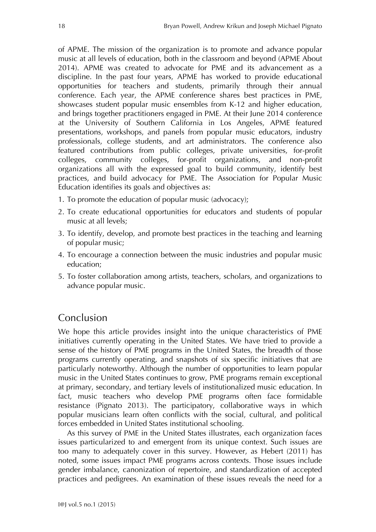of APME. The mission of the organization is to promote and advance popular music at all levels of education, both in the classroom and beyond (APME About 2014). APME was created to advocate for PME and its advancement as a discipline. In the past four years, APME has worked to provide educational opportunities for teachers and students, primarily through their annual conference. Each year, the APME conference shares best practices in PME, showcases student popular music ensembles from K-12 and higher education, and brings together practitioners engaged in PME. At their June 2014 conference at the University of Southern California in Los Angeles, APME featured presentations, workshops, and panels from popular music educators, industry professionals, college students, and art administrators. The conference also featured contributions from public colleges, private universities, for-profit colleges, community colleges, for-profit organizations, and non-profit organizations all with the expressed goal to build community, identify best practices, and build advocacy for PME. The Association for Popular Music Education identifies its goals and objectives as:

- 1. To promote the education of popular music (advocacy);
- 2. To create educational opportunities for educators and students of popular music at all levels;
- 3. To identify, develop, and promote best practices in the teaching and learning of popular music;
- 4. To encourage a connection between the music industries and popular music education;
- 5. To foster collaboration among artists, teachers, scholars, and organizations to advance popular music.

## Conclusion

We hope this article provides insight into the unique characteristics of PME initiatives currently operating in the United States. We have tried to provide a sense of the history of PME programs in the United States, the breadth of those programs currently operating, and snapshots of six specific initiatives that are particularly noteworthy. Although the number of opportunities to learn popular music in the United States continues to grow, PME programs remain exceptional at primary, secondary, and tertiary levels of institutionalized music education. In fact, music teachers who develop PME programs often face formidable resistance (Pignato 2013). The participatory, collaborative ways in which popular musicians learn often conflicts with the social, cultural, and political forces embedded in United States institutional schooling.

As this survey of PME in the United States illustrates, each organization faces issues particularized to and emergent from its unique context. Such issues are too many to adequately cover in this survey. However, as Hebert (2011) has noted, some issues impact PME programs across contexts. Those issues include gender imbalance, canonization of repertoire, and standardization of accepted practices and pedigrees. An examination of these issues reveals the need for a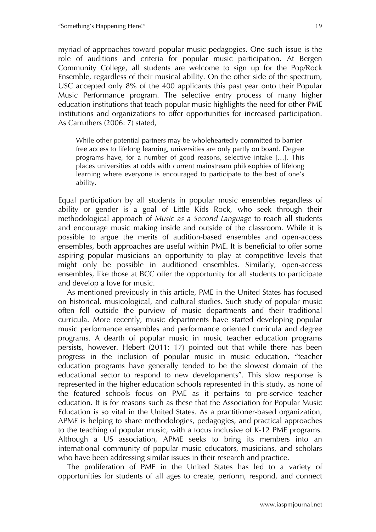myriad of approaches toward popular music pedagogies. One such issue is the role of auditions and criteria for popular music participation. At Bergen Community College, all students are welcome to sign up for the Pop/Rock Ensemble, regardless of their musical ability. On the other side of the spectrum, USC accepted only 8% of the 400 applicants this past year onto their Popular Music Performance program. The selective entry process of many higher education institutions that teach popular music highlights the need for other PME institutions and organizations to offer opportunities for increased participation. As Carruthers (2006: 7) stated,

While other potential partners may be wholeheartedly committed to barrierfree access to lifelong learning, universities are only partly on board. Degree programs have, for a number of good reasons, selective intake […]. This places universities at odds with current mainstream philosophies of lifelong learning where everyone is encouraged to participate to the best of one's ability.

Equal participation by all students in popular music ensembles regardless of ability or gender is a goal of Little Kids Rock, who seek through their methodological approach of *Music as a Second Language* to reach all students and encourage music making inside and outside of the classroom. While it is possible to argue the merits of audition-based ensembles and open-access ensembles, both approaches are useful within PME. It is beneficial to offer some aspiring popular musicians an opportunity to play at competitive levels that might only be possible in auditioned ensembles. Similarly, open-access ensembles, like those at BCC offer the opportunity for all students to participate and develop a love for music.

As mentioned previously in this article, PME in the United States has focused on historical, musicological, and cultural studies. Such study of popular music often fell outside the purview of music departments and their traditional curricula. More recently, music departments have started developing popular music performance ensembles and performance oriented curricula and degree programs. A dearth of popular music in music teacher education programs persists, however. Hebert (2011: 17) pointed out that while there has been progress in the inclusion of popular music in music education, "teacher education programs have generally tended to be the slowest domain of the educational sector to respond to new developments". This slow response is represented in the higher education schools represented in this study, as none of the featured schools focus on PME as it pertains to pre-service teacher education. It is for reasons such as these that the Association for Popular Music Education is so vital in the United States. As a practitioner-based organization, APME is helping to share methodologies, pedagogies, and practical approaches to the teaching of popular music, with a focus inclusive of K-12 PME programs. Although a US association, APME seeks to bring its members into an international community of popular music educators, musicians, and scholars who have been addressing similar issues in their research and practice.

The proliferation of PME in the United States has led to a variety of opportunities for students of all ages to create, perform, respond, and connect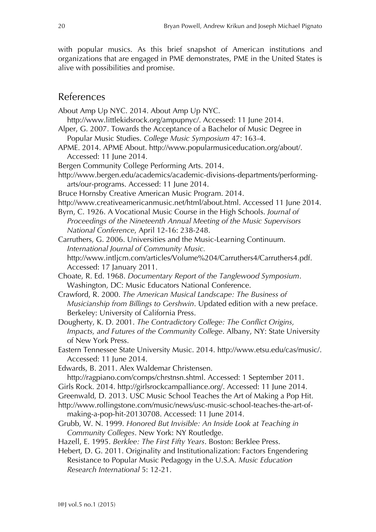with popular musics. As this brief snapshot of American institutions and organizations that are engaged in PME demonstrates, PME in the United States is alive with possibilities and promise.

### References

About Amp Up NYC. 2014. About Amp Up NYC.

http://www.littlekidsrock.org/ampupnyc/. Accessed: 11 June 2014.

- Alper, G. 2007. Towards the Acceptance of a Bachelor of Music Degree in Popular Music Studies. *College Music Symposium* 47: 163-4.
- APME. 2014. APME About. http://www.popularmusiceducation.org/about/. Accessed: 11 June 2014.
- Bergen Community College Performing Arts. 2014.
- http://www.bergen.edu/academics/academic-divisions-departments/performingarts/our-programs. Accessed: 11 June 2014.
- Bruce Hornsby Creative American Music Program. 2014.
- http://www.creativeamericanmusic.net/html/about.html. Accessed 11 June 2014.
- Byrn, C. 1926. A Vocational Music Course in the High Schools. *Journal of Proceedings of the Nineteenth Annual Meeting of the Music Supervisors National Conference*, April 12-16: 238-248.
- Carruthers, G. 2006. Universities and the Music-Learning Continuum. *International Journal of Community Music.* http://www.intljcm.com/articles/Volume%204/Carruthers4/Carruthers4.pdf. Accessed: 17 January 2011.
- Choate, R. Ed. 1968. *Documentary Report of the Tanglewood Symposium*. Washington, DC: Music Educators National Conference.
- Crawford, R. 2000. *The American Musical Landscape: The Business of Musicianship from Billings to Gershwin*. Updated edition with a new preface. Berkeley: University of California Press.
- Dougherty, K. D. 2001. *The Contradictory College: The Conflict Origins, Impacts, and Futures of the Community College*. Albany, NY: State University of New York Press.
- Eastern Tennessee State University Music. 2014. http://www.etsu.edu/cas/music/. Accessed: 11 June 2014.
- Edwards, B. 2011. Alex Waldemar Christensen.
- http://ragpiano.com/comps/chrstnsn.shtml. Accessed: 1 September 2011.
- Girls Rock. 2014. http://girlsrockcampalliance.org/. Accessed: 11 June 2014.
- Greenwald, D. 2013. USC Music School Teaches the Art of Making a Pop Hit.
- http://www.rollingstone.com/music/news/usc-music-school-teaches-the-art-ofmaking-a-pop-hit-20130708. Accessed: 11 June 2014.
- Grubb, W. N. 1999. *Honored But Invisible: An Inside Look at Teaching in Community Colleges*. New York: NY Routledge.
- Hazell, E. 1995. *Berklee: The First Fifty Years*. Boston: Berklee Press.
- Hebert, D. G. 2011. Originality and Institutionalization: Factors Engendering Resistance to Popular Music Pedagogy in the U.S.A. *Music Education Research International* 5: 12-21.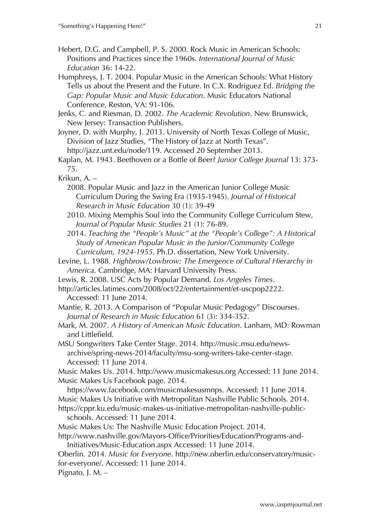- Hebert, D.G. and Campbell, P. S. 2000. Rock Music in American Schools: Positions and Practices since the 1960s. *International Journal of Music Education* 36: 14-22.
- Humphreys, J. T. 2004. Popular Music in the American Schools: What History Tells us about the Present and the Future. In C.X. Rodriguez Ed. *Bridging the Gap: Popular Music and Music Education*. Music Educators National Conference, Reston, VA: 91-106.
- Jenks, C. and Riesman, D. 2002. *The Academic Revolution*. New Brunswick, New Jersey: Transaction Publishers.
- Joyner, D. with Murphy, J. 2013. University of North Texas College of Music, Division of Jazz Studies, "The History of Jazz at North Texas". http://jazz.unt.edu/node/119. Accessed 20 September 2013.

Kaplan, M. 1943. Beethoven or a Bottle of Beer? *Junior College Journal* 13: 373- 75.

- Krikun, A.
	- 2008. Popular Music and Jazz in the American Junior College Music Curriculum During the Swing Era (1935-1945). *Journal of Historical Research in Music Education* 30 (1): 39-49
	- 2010. Mixing Memphis Soul into the Community College Curriculum Stew, *Journal of Popular Music Studies* 21 (1): 76-89.
	- 2014. *Teaching the "People's Music" at the "People's College": A Historical Study of American Popular Music in the Junior/Community College Curriculum, 1924-1955*. Ph.D. dissertation, New York University.
- Levine, L. 1988. *Highbrow/Lowbrow: The Emergence of Cultural Hierarchy in America*. Cambridge, MA: Harvard University Press.
- Lewis, R. 2008. USC Acts by Popular Demand. *Los Angeles Times*.
- http://articles.latimes.com/2008/oct/22/entertainment/et-uscpop2222. Accessed: 11 June 2014.
- Mantie, R. 2013. A Comparison of "Popular Music Pedagogy" Discourses. *Journal of Research in Music Education* 61 (3): 334-352.
- Mark, M. 2007. *A History of American Music Education*. Lanham, MD: Rowman and Littlefield.
- MSU Songwriters Take Center Stage. 2014. http://music.msu.edu/newsarchive/spring-news-2014/faculty/msu-song-writers-take-center-stage. Accessed: 11 June 2014.

Music Makes Us. 2014. http://www.musicmakesus.org Accessed: 11 June 2014. Music Makes Us Facebook page. 2014.

https://www.facebook.com/musicmakesusmnps. Accessed: 11 June 2014. Music Makes Us Initiative with Metropolitan Nashville Public Schools. 2014.

https://cppr.ku.edu/music-makes-us-initiative-metropolitan-nashville-publicschools. Accessed: 11 June 2014.

Music Makes Us: The Nashville Music Education Project. 2014.

http://www.nashville.gov/Mayors-Office/Priorities/Education/Programs-and-Initiatives/Music-Education.aspx Accessed: 11 June 2014.

Oberlin. 2014. *Music for Everyone*. http://new.oberlin.edu/conservatory/musicfor-everyone/. Accessed: 11 June 2014.

Pignato, J. M. –